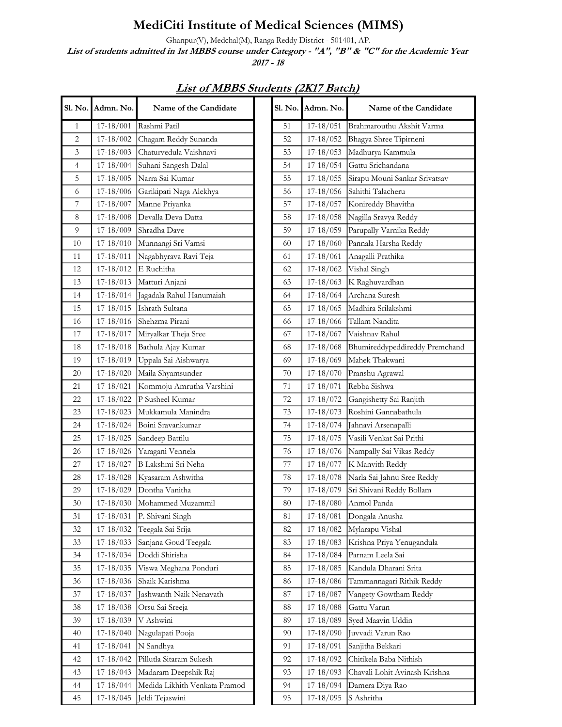## MediCiti Institute of Medical Sciences (MIMS)

Ghanpur(V), Medchal(M), Ranga Reddy District - 501401, AP.

List of students admitted in 1st MBBS course under Category - "A", "B" & "C" for the Academic Year 2017 - 18

| . No. 1          | Admn. No.     | Name of the Candidate         | <b>Sl. No.</b> | Admn. No.     | Name of the Candidate          |
|------------------|---------------|-------------------------------|----------------|---------------|--------------------------------|
| 1                | 17-18/001     | Rashmi Patil                  | 51             | 17-18/051     | Brahmarouthu Akshit Varma      |
| 2                | 17-18/002     | Chagam Reddy Sunanda          | 52             | 17-18/052     | Bhagya Shree Tipirneni         |
| $\mathfrak{Z}$   | 17-18/003     | Chaturvedula Vaishnavi        | 53             | 17-18/053     | Madhurya Kammula               |
| 4                | $17-18/004$   | Suhani Sangesh Dalal          | 54             | $17-18/054$   | Gattu Srichandana              |
| 5                | 17-18/005     | Narra Sai Kumar               | 55             | $17-18/055$   | Sirapu Mouni Sankar Srivatsav  |
| 6                | 17-18/006     | Garikipati Naga Alekhya       | 56             | $17-18/056$   | Sahithi Talacheru              |
| $\boldsymbol{7}$ | 17-18/007     | Manne Priyanka                | 57             | $17-18/057$   | Konireddy Bhavitha             |
| 8                | 17-18/008     | Devalla Deva Datta            | 58             | $17-18/058$   | Nagilla Sravya Reddy           |
| 9                | 17-18/009     | Shradha Dave                  | 59             | $17-18/059$   | Parupally Varnika Reddy        |
| 10               | 17-18/010     | Munnangi Sri Vamsi            | 60             | $17-18/060$   | Pannala Harsha Reddy           |
| 11               | 17-18/011     | Nagabhyrava Ravi Teja         | 61             | $17-18/061$   | Anagalli Prathika              |
| 12               | 17-18/012     | E Ruchitha                    | 62             | 17-18/062     | Vishal Singh                   |
| 13               | 17-18/013     | Matturi Anjani                | 63             | $17-18/063$   | K Raghuvardhan                 |
| 14               | 17-18/014     | Jagadala Rahul Hanumaiah      | 64             | $17-18/064$   | Archana Suresh                 |
| 15               | 17-18/015     | Ishrath Sultana               | 65             | 17-18/065     | Madhira Srilakshmi             |
| 16               | 17-18/016     | Shehzma Pirani                | 66             | 17-18/066     | Tallam Nandita                 |
| 17               | 17-18/017     | Miryalkar Theja Sree          | 67             | 17-18/067     | Vaishnav Rahul                 |
| 18               | $17-18/018$   | Bathula Ajay Kumar            | 68             | $17-18/068$   | Bhumireddypeddireddy Premchand |
| 19               | 17-18/019     | Uppala Sai Aishwarya          | 69             | 17-18/069     | Mahek Thakwani                 |
| 20               | $17-18/020$   | Maila Shyamsunder             | 70             | $17-18/070$   | Pranshu Agrawal                |
| 21               | 17-18/021     | Kommoju Amrutha Varshini      | 71             | 17-18/071     | Rebba Sishwa                   |
| 22               | 17-18/022     | P Susheel Kumar               | 72             | $17-18/072$   | Gangishetty Sai Ranjith        |
| 23               | 17-18/023     | Mukkamula Manindra            | 73             | $17 - 18/073$ | Roshini Gannabathula           |
| 24               | $17-18/024$   | Boini Sravankumar             | 74             | $17-18/074$   | Jahnavi Arsenapalli            |
| 25               | $17-18/025$   | Sandeep Battilu               | 75             | $17 - 18/075$ | Vasili Venkat Sai Prithi       |
| $26\,$           | 17-18/026     | Yaragani Vennela              | 76             | 17-18/076     | Nampally Sai Vikas Reddy       |
| 27               | 17-18/027     | B Lakshmi Sri Neha            | 77             | 17-18/077     | K Manvith Reddy                |
| 28               | 17-18/028     | Kyasaram Ashwitha             | 78             | 17-18/078     | Narla Sai Jahnu Sree Reddy     |
| 29               | 17-18/029     | Dontha Vanitha                | 79             | 17-18/079     | Sri Shivani Reddy Bollam       |
| 30               | $17-18/030$   | Mohammed Muzammil             | 80             | $17-18/080$   | Anmol Panda                    |
| $31\,$           | 17-18/031     | P. Shivani Singh              | 81             | 17-18/081     | Dongala Anusha                 |
| 32               | 17-18/032     | Teegala Sai Srija             | 82             | 17-18/082     | Mylarapu Vishal                |
| 33               | 17-18/033     | Sanjana Goud Teegala          | 83             | 17-18/083     | Krishna Priya Yenugandula      |
| 34               | 17-18/034     | Doddi Shirisha                | 84             | 17-18/084     | Parnam Leela Sai               |
| 35               | 17-18/035     | Viswa Meghana Ponduri         | 85             | 17-18/085     | Kandula Dharani Srita          |
| 36               | 17-18/036     | Shaik Karishma                | 86             | 17-18/086     | Tammannagari Rithik Reddy      |
| 37               | 17-18/037     | Jashwanth Naik Nenavath       | 87             | 17-18/087     | Vangety Gowtham Reddy          |
| 38               | $17-18/038$   | Orsu Sai Sreeja               | 88             | 17-18/088     | Gattu Varun                    |
| 39               | 17-18/039     | V Ashwini                     | 89             | 17-18/089     | Syed Maavin Uddin              |
| 40               | 17-18/040     | Nagulapati Pooja              | 90             | 17-18/090     | Juvvadi Varun Rao              |
| 41               | 17-18/041     | N Sandhya                     | 91             | 17-18/091     | Sanjitha Bekkari               |
| 42               | 17-18/042     | Pillutla Sitaram Sukesh       | 92             | 17-18/092     | Chitikela Baba Nithish         |
| 43               | $17-18/043$   | Madaram Deepshik Raj          | 93             | $17-18/093$   | Chavali Lohit Avinash Krishna  |
| 44               | 17-18/044     | Medida Likhith Venkata Pramod | 94             | 17-18/094     | Damera Diya Rao                |
| 45               | $17 - 18/045$ | Jeldi Tejaswini               | 95             | 17-18/095     | S Ashritha                     |

List of MBBS Students (2K17 Batch)